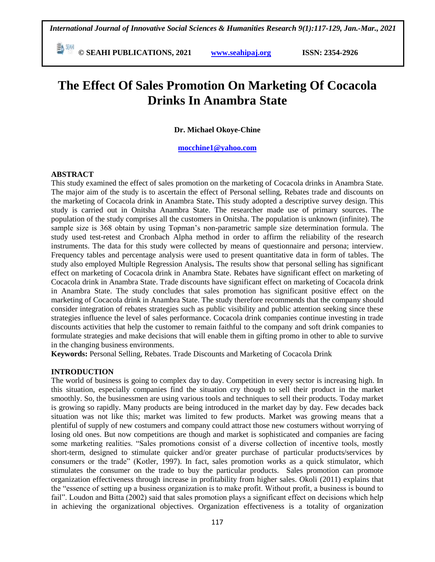**© SEAHI PUBLICATIONS, 2021 [www.seahipaj.org](http://www.seahipaj.org/) ISSN: 2354-2926** 

# **The Effect Of Sales Promotion On Marketing Of Cocacola Drinks In Anambra State**

**Dr. Michael Okoye-Chine**

#### **[mocchine1@yahoo.com](mailto:mocchine1@yahoo.com)**

#### **ABSTRACT**

This study examined the effect of sales promotion on the marketing of Cocacola drinks in Anambra State*.*  The major aim of the study is to ascertain the effect of Personal selling, Rebates trade and discounts on the marketing of Cocacola drink in Anambra State**.** This study adopted a descriptive survey design. This study is carried out in Onitsha Anambra State. The researcher made use of primary sources. The population of the study comprises all the customers in Onitsha. The population is unknown (infinite). The sample size is 368 obtain by using Topman's non-parametric sample size determination formula. The study used test-retest and Cronbach Alpha method in order to affirm the reliability of the research instruments. The data for this study were collected by means of questionnaire and persona; interview. Frequency tables and percentage analysis were used to present quantitative data in form of tables. The study also employed Multiple Regression Analysis**.** The results show that personal selling has significant effect on marketing of Cocacola drink in Anambra State. Rebates have significant effect on marketing of Cocacola drink in Anambra State. Trade discounts have significant effect on marketing of Cocacola drink in Anambra State. The study concludes that sales promotion has significant positive effect on the marketing of Cocacola drink in Anambra State. The study therefore recommends that the company should consider integration of rebates strategies such as public visibility and public attention seeking since these strategies influence the level of sales performance. Cocacola drink companies continue investing in trade discounts activities that help the customer to remain faithful to the company and soft drink companies to formulate strategies and make decisions that will enable them in gifting promo in other to able to survive in the changing business environments.

**Keywords:** Personal Selling, Rebates. Trade Discounts and Marketing of Cocacola Drink

# **INTRODUCTION**

The world of business is going to complex day to day. Competition in every sector is increasing high. In this situation, especially companies find the situation cry though to sell their product in the market smoothly. So, the businessmen are using various tools and techniques to sell their products. Today market is growing so rapidly. Many products are being introduced in the market day by day. Few decades back situation was not like this; market was limited to few products. Market was growing means that a plentiful of supply of new costumers and company could attract those new costumers without worrying of losing old ones. But now competitions are though and market is sophisticated and companies are facing some marketing realities. "Sales promotions consist of a diverse collection of incentive tools, mostly short-term, designed to stimulate quicker and/or greater purchase of particular products/services by consumers or the trade" (Kotler, 1997). In fact, sales promotion works as a quick stimulator, which stimulates the consumer on the trade to buy the particular products. Sales promotion can promote organization effectiveness through increase in profitability from higher sales. Okoli (2011) explains that the "essence of setting up a business organization is to make profit. Without profit, a business is bound to fail". Loudon and Bitta (2002) said that sales promotion plays a significant effect on decisions which help in achieving the organizational objectives. Organization effectiveness is a totality of organization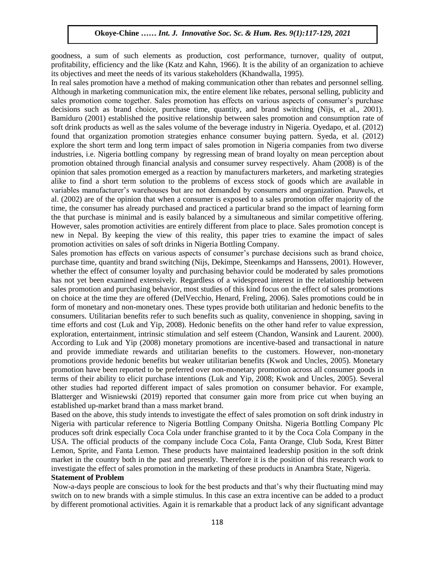goodness, a sum of such elements as production, cost performance, turnover, quality of output, profitability, efficiency and the like (Katz and Kahn, 1966). It is the ability of an organization to achieve its objectives and meet the needs of its various stakeholders (Khandwalla, 1995).

In real sales promotion have a method of making communication other than rebates and personnel selling. Although in marketing communication mix, the entire element like rebates, personal selling, publicity and sales promotion come together. Sales promotion has effects on various aspects of consumer"s purchase decisions such as brand choice, purchase time, quantity, and brand switching (Nijs, et al., 2001). Bamiduro (2001) established the positive relationship between sales promotion and consumption rate of soft drink products as well as the sales volume of the beverage industry in Nigeria. Oyedapo, et al. (2012) found that organization promotion strategies enhance consumer buying pattern. Syeda, et al. (2012) explore the short term and long term impact of sales promotion in Nigeria companies from two diverse industries, i.e. Nigeria bottling company by regressing mean of brand loyalty on mean perception about promotion obtained through financial analysis and consumer survey respectively. Aham (2008) is of the opinion that sales promotion emerged as a reaction by manufacturers marketers, and marketing strategies alike to find a short term solution to the problems of excess stock of goods which are available in variables manufacturer"s warehouses but are not demanded by consumers and organization. Pauwels, et al. (2002) are of the opinion that when a consumer is exposed to a sales promotion offer majority of the time, the consumer has already purchased and practiced a particular brand so the impact of learning form the that purchase is minimal and is easily balanced by a simultaneous and similar competitive offering. However, sales promotion activities are entirely different from place to place. Sales promotion concept is new in Nepal. By keeping the view of this reality, this paper tries to examine the impact of sales promotion activities on sales of soft drinks in Nigeria Bottling Company.

Sales promotion has effects on various aspects of consumer"s purchase decisions such as brand choice, purchase time, quantity and brand switching (Nijs, Dekimpe, Steenkamps and Hanssens, 2001). However, whether the effect of consumer loyalty and purchasing behavior could be moderated by sales promotions has not yet been examined extensively. Regardless of a widespread interest in the relationship between sales promotion and purchasing behavior, most studies of this kind focus on the effect of sales promotions on choice at the time they are offered (DelVecchio, Henard, Freling, 2006). Sales promotions could be in form of monetary and non-monetary ones. These types provide both utilitarian and hedonic benefits to the consumers. Utilitarian benefits refer to such benefits such as quality, convenience in shopping, saving in time efforts and cost (Luk and Yip, 2008). Hedonic benefits on the other hand refer to value expression, exploration, entertainment, intrinsic stimulation and self esteem (Chandon, Wansink and Laurent. 2000). According to Luk and Yip (2008) monetary promotions are incentive-based and transactional in nature and provide immediate rewards and utilitarian benefits to the customers. However, non-monetary promotions provide hedonic benefits but weaker utilitarian benefits (Kwok and Uncles, 2005). Monetary promotion have been reported to be preferred over non-monetary promotion across all consumer goods in terms of their ability to elicit purchase intentions (Luk and Yip, 2008; Kwok and Uncles, 2005). Several other studies had reported different impact of sales promotion on consumer behavior. For example, Blatterger and Wisniewski (2019) reported that consumer gain more from price cut when buying an established up-market brand than a mass market brand.

Based on the above, this study intends to investigate the effect of sales promotion on soft drink industry in Nigeria with particular reference to Nigeria Bottling Company Onitsha. Nigeria Bottling Company Plc produces soft drink especially Coca Cola under franchise granted to it by the Coca Cola Company in the USA. The official products of the company include Coca Cola, Fanta Orange, Club Soda, Krest Bitter Lemon, Sprite, and Fanta Lemon. These products have maintained leadership position in the soft drink market in the country both in the past and presently. Therefore it is the position of this research work to investigate the effect of sales promotion in the marketing of these products in Anambra State, Nigeria.

#### **Statement of Problem**

Now-a-days people are conscious to look for the best products and that"s why their fluctuating mind may switch on to new brands with a simple stimulus. In this case an extra incentive can be added to a product by different promotional activities. Again it is remarkable that a product lack of any significant advantage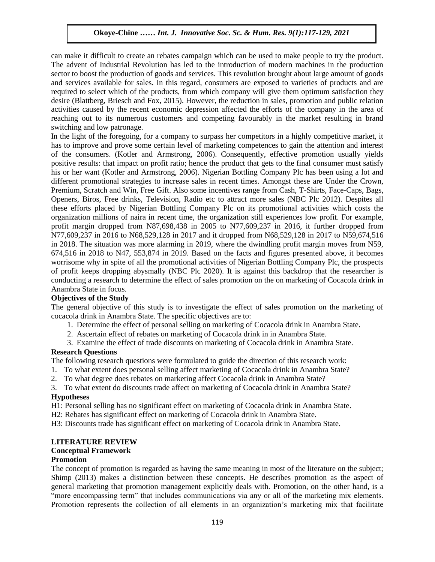can make it difficult to create an rebates campaign which can be used to make people to try the product. The advent of Industrial Revolution has led to the introduction of modern machines in the production sector to boost the production of goods and services. This revolution brought about large amount of goods and services available for sales. In this regard, consumers are exposed to varieties of products and are required to select which of the products, from which company will give them optimum satisfaction they desire (Blattberg, Briesch and Fox, 2015). However, the reduction in sales, promotion and public relation activities caused by the recent economic depression affected the efforts of the company in the area of reaching out to its numerous customers and competing favourably in the market resulting in brand switching and low patronage.

In the light of the foregoing, for a company to surpass her competitors in a highly competitive market, it has to improve and prove some certain level of marketing competences to gain the attention and interest of the consumers. (Kotler and Armstrong, 2006). Consequently, effective promotion usually yields positive results: that impact on profit ratio; hence the product that gets to the final consumer must satisfy his or her want (Kotler and Armstrong, 2006). Nigerian Bottling Company Plc has been using a lot and different promotional strategies to increase sales in recent times. Amongst these are Under the Crown, Premium, Scratch and Win, Free Gift. Also some incentives range from Cash, T-Shirts, Face-Caps, Bags, Openers, Biros, Free drinks, Television, Radio etc to attract more sales (NBC Plc 2012). Despites all these efforts placed by Nigerian Bottling Company Plc on its promotional activities which costs the organization millions of naira in recent time, the organization still experiences low profit. For example, profit margin dropped from N87,698,438 in 2005 to N77,609,237 in 2016, it further dropped from N77,609,237 in 2016 to N68,529,128 in 2017 and it dropped from N68,529,128 in 2017 to N59,674,516 in 2018. The situation was more alarming in 2019, where the dwindling profit margin moves from N59, 674,516 in 2018 to N47, 553,874 in 2019. Based on the facts and figures presented above, it becomes worrisome why in spite of all the promotional activities of Nigerian Bottling Company Plc, the prospects of profit keeps dropping abysmally (NBC Plc 2020). It is against this backdrop that the researcher is conducting a research to determine the effect of sales promotion on the on marketing of Cocacola drink in Anambra State in focus.

## **Objectives of the Study**

The general objective of this study is to investigate the effect of sales promotion on the marketing of cocacola drink in Anambra State. The specific objectives are to:

- 1. Determine the effect of personal selling on marketing of Cocacola drink in Anambra State.
- 2. Ascertain effect of rebates on marketing of Cocacola drink in in Anambra State.
- 3. Examine the effect of trade discounts on marketing of Cocacola drink in Anambra State.

#### **Research Questions**

The following research questions were formulated to guide the direction of this research work:

- 1. To what extent does personal selling affect marketing of Cocacola drink in Anambra State?
- 2. To what degree does rebates on marketing affect Cocacola drink in Anambra State?
- 3. To what extent do discounts trade affect on marketing of Cocacola drink in Anambra State?

# **Hypotheses**

H1: Personal selling has no significant effect on marketing of Cocacola drink in Anambra State.

H2: Rebates has significant effect on marketing of Cocacola drink in Anambra State.

H3: Discounts trade has significant effect on marketing of Cocacola drink in Anambra State.

#### **LITERATURE REVIEW**

## **Conceptual Framework**

#### **Promotion**

The concept of promotion is regarded as having the same meaning in most of the literature on the subject; Shimp (2013) makes a distinction between these concepts. He describes promotion as the aspect of general marketing that promotion management explicitly deals with. Promotion, on the other hand, is a "more encompassing term" that includes communications via any or all of the marketing mix elements. Promotion represents the collection of all elements in an organization"s marketing mix that facilitate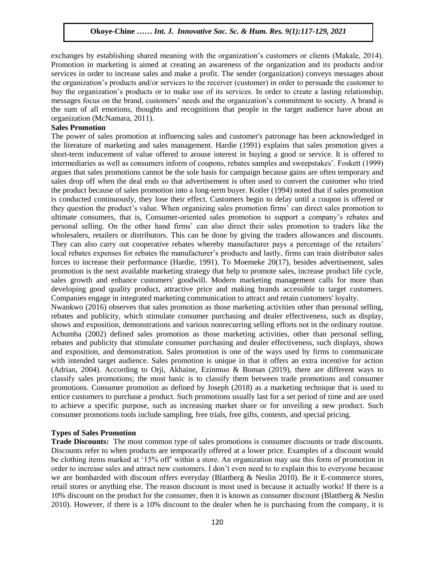exchanges by establishing shared meaning with the organization"s customers or clients (Makale, 2014). Promotion in marketing is aimed at creating an awareness of the organization and its products and/or services in order to increase sales and make a profit. The sender (organization) conveys messages about the organization"s products and/or services to the receiver (customer) in order to persuade the customer to buy the organization"s products or to make use of its services. In order to create a lasting relationship, messages focus on the brand, customers" needs and the organization"s commitment to society. A brand is the sum of all emotions, thoughts and recognitions that people in the target audience have about an organization (McNamara, 2011).

#### **Sales Promotion**

The power of sales promotion at influencing sales and customer's patronage has been acknowledged in the literature of marketing and sales management. Hardie (1991) explains that sales promotion gives a short-term inducement of value offered to arouse interest in buying a good or service. It is offered to intermediaries as well as consumers inform of coupons, rebates samples and sweepstakes". Foskett (1999) argues that sales promotions cannot be the sole basis for campaign because gains are often temporary and sales drop off when the deal ends so that advertisement is often used to convert the customer who tried the product because of sales promotion into a long-term buyer. Kotler (1994) noted that if sales promotion is conducted continuously, they lose their effect. Customers begin to delay until a coupon is offered or they question the product"s value. When organizing sales promotion firms" can direct sales promotion to ultimate consumers, that is, Consumer-oriented sales promotion to support a company"s rebates and personal selling. On the other hand firms" can also direct their sales promotion to traders like the wholesalers, retailers or distributors. This can be done by giving the traders allowances and discounts. They can also carry out cooperative rebates whereby manufacturer pays a percentage of the retailers' local rebates expenses for rebates the manufacturer's products and lastly, firms can train distributor sales forces to increase their performance (Hardie, 1991). To Moemeke 20(17), besides advertisement, sales promotion is the next available marketing strategy that help to promote sales, increase product life cycle, sales growth and enhance customers' goodwill. Modern marketing management calls for more than developing good quality product, attractive price and making brands accessible to target customers. Companies engage in integrated marketing communication to attract and retain customers' loyalty.

Nwankwo (2016) observes that sales promotion as those marketing activities other than personal selling, rebates and publicity, which stimulate consumer purchasing and dealer effectiveness, such as display, shows and exposition, demonstrations and various nonrecurring selling efforts not in the ordinary routine. Achumba (2002) defined sales promotion as those marketing activities, other than personal selling, rebates and publicity that stimulate consumer purchasing and dealer effectiveness, such displays, shows and exposition, and demonstration. Sales promotion is one of the ways used by firms to communicate with intended target audience. Sales promotion is unique in that it offers an extra incentive for action (Adrian, 2004). According to Orji, Akhaine, Ezinmuo & Boman (2019), there are different ways to classify sales promotions; the most basic is to classify them between trade promotions and consumer promotions. Consumer promotion as defined by Joseph (2018) as a marketing technique that is used to entice customers to purchase a product. Such promotions usually last for a set period of time and are used to achieve a specific purpose, such as increasing market share or for unveiling a new product. Such consumer promotions tools include sampling, free trials, free gifts, contests, and special pricing.

#### **Types of Sales Promotion**

**Trade Discounts:** The most common type of sales promotions is consumer discounts or trade discounts. Discounts refer to when products are temporarily offered at a lower price. Examples of a discount would be clothing items marked at "15% off" within a store. An organization may use this form of promotion in order to increase sales and attract new customers. I don"t even need to to explain this to everyone because we are bombarded with discount offers everyday (Blattberg & Neslin 2010). Be it E-commerce stores, retail stores or anything else. The reason discount is most used is because it actually works! If there is a 10% discount on the product for the consumer, then it is known as consumer discount (Blattberg & Neslin 2010). However, if there is a 10% discount to the dealer when he is purchasing from the company, it is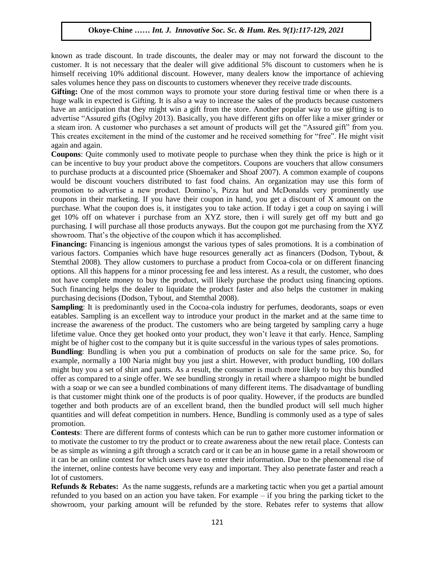known as trade discount. In trade discounts, the dealer may or may not forward the discount to the customer. It is not necessary that the dealer will give additional 5% discount to customers when he is himself receiving 10% additional discount. However, many dealers know the importance of achieving sales volumes hence they pass on discounts to customers whenever they receive trade discounts.

**Gifting:** One of the most common ways to promote your store during festival time or when there is a huge walk in expected is Gifting. It is also a way to increase the sales of the products because customers have an anticipation that they might win a gift from the store. Another popular way to use gifting is to advertise "Assured gifts (Ogilvy 2013). Basically, you have different gifts on offer like a mixer grinder or a steam iron. A customer who purchases a set amount of products will get the "Assured gift" from you. This creates excitement in the mind of the customer and he received something for "free". He might visit again and again.

**Coupons**: Quite commonly used to motivate people to purchase when they think the price is high or it can be incentive to buy your product above the competitors. Coupons are vouchers that allow consumers to purchase products at a discounted price (Shoemaker and Shoaf 2007). A common example of coupons would be discount vouchers distributed to fast food chains. An organization may use this form of promotion to advertise a new product. Domino"s, Pizza hut and McDonalds very prominently use coupons in their marketing. If you have their coupon in hand, you get a discount of X amount on the purchase. What the coupon does is, it instigates you to take action. If today i get a coup on saying i will get 10% off on whatever i purchase from an XYZ store, then i will surely get off my butt and go purchasing. I will purchase all those products anyways. But the coupon got me purchasing from the XYZ showroom. That's the objective of the coupon which it has accomplished.

**Financing:** Financing is ingenious amongst the various types of sales promotions. It is a combination of various factors. Companies which have huge resources generally act as financers (Dodson, Tybout, & Stemthal 2008). They allow customers to purchase a product from Cocoa-cola or on different financing options. All this happens for a minor processing fee and less interest. As a result, the customer, who does not have complete money to buy the product, will likely purchase the product using financing options. Such financing helps the dealer to liquidate the product faster and also helps the customer in making purchasing decisions (Dodson, Tybout, and Stemthal 2008).

**Sampling**: It is predominantly used in the Cocoa-cola industry for perfumes, deodorants, soaps or even eatables. Sampling is an excellent way to introduce your product in the market and at the same time to increase the awareness of the product. The customers who are being targeted by sampling carry a huge lifetime value. Once they get hooked onto your product, they won"t leave it that early. Hence, Sampling might be of higher cost to the company but it is quite successful in the various types of sales promotions.

**Bundling**: Bundling is when you put a combination of products on sale for the same price. So, for example, normally a 100 Naria might buy you just a shirt. However, with product bundling, 100 dollars might buy you a set of shirt and pants. As a result, the consumer is much more likely to buy this bundled offer as compared to a single offer. We see bundling strongly in retail where a shampoo might be bundled with a soap or we can see a bundled combinations of many different items. The disadvantage of bundling is that customer might think one of the products is of poor quality. However, if the products are bundled together and both products are of an excellent brand, then the bundled product will sell much higher quantities and will defeat competition in numbers. Hence, Bundling is commonly used as a type of sales promotion.

**Contests:** There are different forms of contests which can be run to gather more customer information or to motivate the customer to try the product or to create awareness about the new retail place. Contests can be as simple as winning a gift through a scratch card or it can be an in house game in a retail showroom or it can be an online contest for which users have to enter their information. Due to the phenomenal rise of the internet, online contests have become very easy and important. They also penetrate faster and reach a lot of customers.

**Refunds & Rebates:** As the name suggests, refunds are a marketing tactic when you get a partial amount refunded to you based on an action you have taken. For example – if you bring the parking ticket to the showroom, your parking amount will be refunded by the store. Rebates refer to systems that allow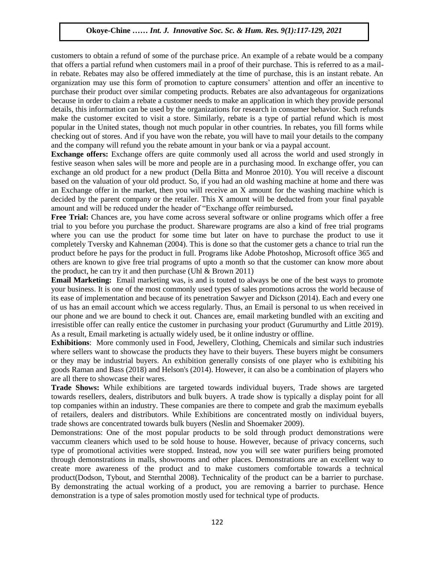customers to obtain a refund of some of the purchase price. An example of a rebate would be a company that offers a partial refund when customers mail in a proof of their purchase. This is referred to as a mailin rebate. Rebates may also be offered immediately at the time of purchase, this is an instant rebate. An organization may use this form of promotion to capture consumers" attention and offer an incentive to purchase their product over similar competing products. Rebates are also advantageous for organizations because in order to claim a rebate a customer needs to make an application in which they provide personal details, this information can be used by the organizations for research in consumer behavior. Such refunds make the customer excited to visit a store. Similarly, rebate is a type of partial refund which is most popular in the United states, though not much popular in other countries. In rebates, you fill forms while checking out of stores. And if you have won the rebate, you will have to mail your details to the company and the company will refund you the rebate amount in your bank or via a paypal account.

**Exchange offers:** Exchange offers are quite commonly used all across the world and used strongly in festive season when sales will be more and people are in a purchasing mood. In exchange offer, you can exchange an old product for a new product (Della Bitta and Monroe 2010). You will receive a discount based on the valuation of your old product. So, if you had an old washing machine at home and there was an Exchange offer in the market, then you will receive an X amount for the washing machine which is decided by the parent company or the retailer. This X amount will be deducted from your final payable amount and will be reduced under the header of "Exchange offer reimbursed**.**

**Free Trial:** Chances are, you have come across several software or online programs which offer a free trial to you before you purchase the product. Shareware programs are also a kind of free trial programs where you can use the product for some time but later on have to purchase the product to use it completely Tversky and Kahneman (2004). This is done so that the customer gets a chance to trial run the product before he pays for the product in full. Programs like Adobe Photoshop, Microsoft office 365 and others are known to give free trial programs of upto a month so that the customer can know more about the product, he can try it and then purchase (Uhl  $& Brown\ 2011$ )

**Email Marketing:** Email marketing was, is and is touted to always be one of the best ways to promote your business. It is one of the most commonly used types of sales promotions across the world because of its ease of implementation and because of its penetration Sawyer and Dickson (2014). Each and every one of us has an email account which we access regularly. Thus, an Email is personal to us when received in our phone and we are bound to check it out. Chances are, email marketing bundled with an exciting and irresistible offer can really entice the customer in purchasing your product (Gurumurthy and Little 2019). As a result, Email marketing is actually widely used, be it online industry or offline.

**Exhibitions**: More commonly used in Food, Jewellery, Clothing, Chemicals and similar such industries where sellers want to showcase the products they have to their buyers. These buyers might be consumers or they may be industrial buyers. An exhibition generally consists of one player who is exhibiting his goods Raman and Bass (2018) and Helson's (2014). However, it can also be a combination of players who are all there to showcase their wares.

**Trade Shows:** While exhibitions are targeted towards individual buyers, Trade shows are targeted towards resellers, dealers, distributors and bulk buyers. A trade show is typically a display point for all top companies within an industry. These companies are there to compete and grab the maximum eyeballs of retailers, dealers and distributors. While Exhibitions are concentrated mostly on individual buyers, trade shows are concentrated towards bulk buyers (Neslin and Shoemaker 2009).

Demonstrations: One of the most popular products to be sold through product demonstrations were vaccumm cleaners which used to be sold house to house. However, because of privacy concerns, such type of promotional activities were stopped. Instead, now you will see water purifiers being promoted through demonstrations in malls, showrooms and other places. Demonstrations are an excellent way to create more awareness of the product and to make customers comfortable towards a technical product(Dodson, Tybout, and Sternthal 2008). Technicality of the product can be a barrier to purchase. By demonstrating the actual working of a product, you are removing a barrier to purchase. Hence demonstration is a type of sales promotion mostly used for technical type of products.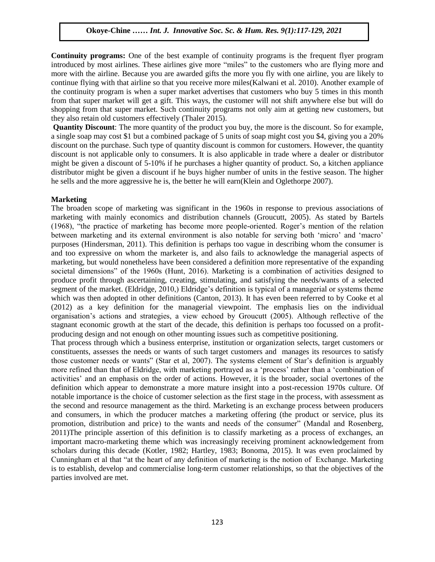**Continuity programs:** One of the best example of continuity programs is the frequent flyer program introduced by most airlines. These airlines give more "miles" to the customers who are flying more and more with the airline. Because you are awarded gifts the more you fly with one airline, you are likely to continue flying with that airline so that you receive more miles(Kalwani et al. 2010). Another example of the continuity program is when a super market advertises that customers who buy 5 times in this month from that super market will get a gift. This ways, the customer will not shift anywhere else but will do shopping from that super market. Such continuity programs not only aim at getting new customers, but they also retain old customers effectively (Thaler 2015).

**Quantity Discount**: The more quantity of the product you buy, the more is the discount. So for example, a single soap may cost \$1 but a combined package of 5 units of soap might cost you \$4, giving you a 20% discount on the purchase. Such type of quantity discount is common for customers. However, the quantity discount is not applicable only to consumers. It is also applicable in trade where a dealer or distributor might be given a discount of 5-10% if he purchases a higher quantity of product. So, a kitchen appliance distributor might be given a discount if he buys higher number of units in the festive season. The higher he sells and the more aggressive he is, the better he will earn(Klein and Oglethorpe 2007).

## **Marketing**

The broaden scope of marketing was significant in the 1960s in response to previous associations of marketing with mainly economics and distribution channels (Groucutt, 2005). As stated by Bartels (1968), "the practice of marketing has become more people-oriented. Roger"s mention of the relation between marketing and its external environment is also notable for serving both 'micro' and 'macro' purposes (Hindersman, 2011). This definition is perhaps too vague in describing whom the consumer is and too expressive on whom the marketer is, and also fails to acknowledge the managerial aspects of marketing, but would nonetheless have been considered a definition more representative of the expanding societal dimensions" of the 1960s (Hunt, 2016). Marketing is a combination of activities designed to produce profit through ascertaining, creating, stimulating, and satisfying the needs/wants of a selected segment of the market. (Eldridge, 2010,) Eldridge"s definition is typical of a managerial or systems theme which was then adopted in other definitions (Canton, 2013). It has even been referred to by Cooke et al (2012) as a key definition for the managerial viewpoint. The emphasis lies on the individual organisation"s actions and strategies, a view echoed by Groucutt (2005). Although reflective of the stagnant economic growth at the start of the decade, this definition is perhaps too focussed on a profitproducing design and not enough on other mounting issues such as competitive positioning.

That process through which a business enterprise, institution or organization selects, target customers or constituents, assesses the needs or wants of such target customers and manages its resources to satisfy those customer needs or wants" (Star et al, 2007). The systems element of Star's definition is arguably more refined than that of Eldridge, with marketing portrayed as a "process" rather than a "combination of activities" and an emphasis on the order of actions. However, it is the broader, social overtones of the definition which appear to demonstrate a more mature insight into a post-recession 1970s culture. Of notable importance is the choice of customer selection as the first stage in the process, with assessment as the second and resource management as the third. Marketing is an exchange process between producers and consumers, in which the producer matches a marketing offering (the product or service, plus its promotion, distribution and price) to the wants and needs of the consumer" (Mandal and Rosenberg, 2011)The principle assertion of this definition is to classify marketing as a process of exchanges, an important macro-marketing theme which was increasingly receiving prominent acknowledgement from scholars during this decade (Kotler, 1982; Hartley, 1983; Bonoma, 2015). It was even proclaimed by Cunningham et al that "at the heart of any definition of marketing is the notion of Exchange. Marketing is to establish, develop and commercialise long-term customer relationships, so that the objectives of the parties involved are met.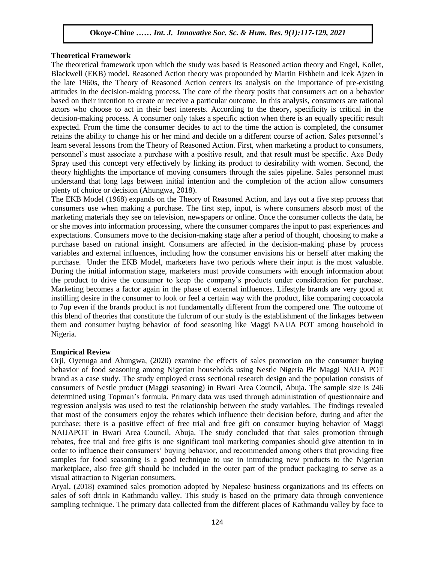#### **Theoretical Framework**

The theoretical framework upon which the study was based is Reasoned action theory and Engel, Kollet, Blackwell (EKB) model. Reasoned Action theory was propounded by Martin Fishbein and Icek Ajzen in the late 1960s, the Theory of Reasoned Action centers its analysis on the importance of pre-existing attitudes in the decision-making process. The core of the theory posits that consumers act on a behavior based on their intention to create or receive a particular outcome. In this analysis, consumers are rational actors who choose to act in their best interests. According to the theory, specificity is critical in the decision-making process. A consumer only takes a specific action when there is an equally specific result expected. From the time the consumer decides to act to the time the action is completed, the consumer retains the ability to change his or her mind and decide on a different course of action. Sales personnel"s learn several lessons from the Theory of Reasoned Action. First, when marketing a product to consumers, personnel"s must associate a purchase with a positive result, and that result must be specific. Axe Body Spray used this concept very effectively by linking its product to desirability with women. Second, the theory highlights the importance of moving consumers through the sales pipeline. Sales personnel must understand that long lags between initial intention and the completion of the action allow consumers plenty of choice or decision (Ahungwa, 2018).

The EKB Model (1968) expands on the Theory of Reasoned Action, and lays out a five step process that consumers use when making a purchase. The first step, input, is where consumers absorb most of the marketing materials they see on television, newspapers or online. Once the consumer collects the data, he or she moves into information processing, where the consumer compares the input to past experiences and expectations. Consumers move to the decision-making stage after a period of thought, choosing to make a purchase based on rational insight. Consumers are affected in the decision-making phase by process variables and external influences, including how the consumer envisions his or herself after making the purchase. Under the EKB Model, marketers have two periods where their input is the most valuable. During the initial information stage, marketers must provide consumers with enough information about the product to drive the consumer to keep the company"s products under consideration for purchase. Marketing becomes a factor again in the phase of external influences. Lifestyle brands are very good at instilling desire in the consumer to look or feel a certain way with the product, like comparing cocoacola to 7up even if the brands product is not fundamentally different from the compered one. The outcome of this blend of theories that constitute the fulcrum of our study is the establishment of the linkages between them and consumer buying behavior of food seasoning like Maggi NAIJA POT among household in Nigeria.

#### **Empirical Review**

Orji, Oyenuga and Ahungwa, (2020) examine the effects of sales promotion on the consumer buying behavior of food seasoning among Nigerian households using Nestle Nigeria Plc Maggi NAIJA POT brand as a case study. The study employed cross sectional research design and the population consists of consumers of Nestle product (Maggi seasoning) in Bwari Area Council, Abuja. The sample size is 246 determined using Topman"s formula. Primary data was used through administration of questionnaire and regression analysis was used to test the relationship between the study variables. The findings revealed that most of the consumers enjoy the rebates which influence their decision before, during and after the purchase; there is a positive effect of free trial and free gift on consumer buying behavior of Maggi NAIJAPOT in Bwari Area Council, Abuja. The study concluded that that sales promotion through rebates, free trial and free gifts is one significant tool marketing companies should give attention to in order to influence their consumers" buying behavior, and recommended among others that providing free samples for food seasoning is a good technique to use in introducing new products to the Nigerian marketplace, also free gift should be included in the outer part of the product packaging to serve as a visual attraction to Nigerian consumers.

Aryal, (2018) examined sales promotion adopted by Nepalese business organizations and its effects on sales of soft drink in Kathmandu valley. This study is based on the primary data through convenience sampling technique. The primary data collected from the different places of Kathmandu valley by face to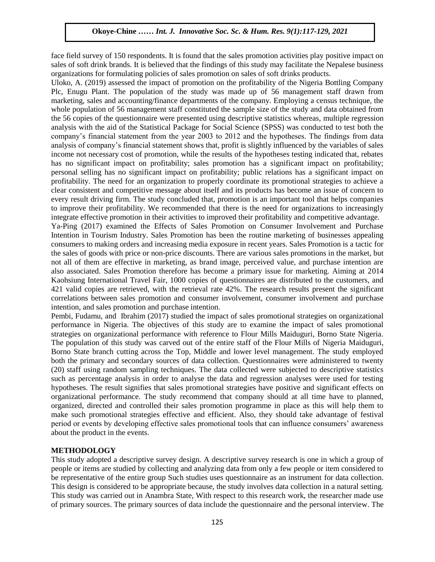face field survey of 150 respondents. It is found that the sales promotion activities play positive impact on sales of soft drink brands. It is believed that the findings of this study may facilitate the Nepalese business organizations for formulating policies of sales promotion on sales of soft drinks products.

Uloko, A. (2019) assessed the impact of promotion on the profitability of the Nigeria Bottling Company Plc, Enugu Plant. The population of the study was made up of 56 management staff drawn from marketing, sales and accounting/finance departments of the company. Employing a census technique, the whole population of 56 management staff constituted the sample size of the study and data obtained from the 56 copies of the questionnaire were presented using descriptive statistics whereas, multiple regression analysis with the aid of the Statistical Package for Social Science (SPSS) was conducted to test both the company"s financial statement from the year 2003 to 2012 and the hypotheses. The findings from data analysis of company"s financial statement shows that, profit is slightly influenced by the variables of sales income not necessary cost of promotion, while the results of the hypotheses testing indicated that, rebates has no significant impact on profitability; sales promotion has a significant impact on profitability; personal selling has no significant impact on profitability; public relations has a significant impact on profitability. The need for an organization to properly coordinate its promotional strategies to achieve a clear consistent and competitive message about itself and its products has become an issue of concern to every result driving firm. The study concluded that, promotion is an important tool that helps companies to improve their profitability. We recommended that there is the need for organizations to increasingly integrate effective promotion in their activities to improved their profitability and competitive advantage.

Ya-Ping (2017) examined the Effects of Sales Promotion on Consumer Involvement and Purchase Intention in Tourism Industry. Sales Promotion has been the routine marketing of businesses appealing consumers to making orders and increasing media exposure in recent years. Sales Promotion is a tactic for the sales of goods with price or non-price discounts. There are various sales promotions in the market, but not all of them are effective in marketing, as brand image, perceived value, and purchase intention are also associated. Sales Promotion therefore has become a primary issue for marketing. Aiming at 2014 Kaohsiung International Travel Fair, 1000 copies of questionnaires are distributed to the customers, and 421 valid copies are retrieved, with the retrieval rate 42%. The research results present the significant correlations between sales promotion and consumer involvement, consumer involvement and purchase intention, and sales promotion and purchase intention.

Pembi, Fudamu, and Ibrahim (2017) studied the impact of sales promotional strategies on organizational performance in Nigeria. The objectives of this study are to examine the impact of sales promotional strategies on organizational performance with reference to Flour Mills Maiduguri, Borno State Nigeria. The population of this study was carved out of the entire staff of the Flour Mills of Nigeria Maiduguri, Borno State branch cutting across the Top, Middle and lower level management. The study employed both the primary and secondary sources of data collection. Questionnaires were administered to twenty (20) staff using random sampling techniques. The data collected were subjected to descriptive statistics such as percentage analysis in order to analyse the data and regression analyses were used for testing hypotheses. The result signifies that sales promotional strategies have positive and significant effects on organizational performance. The study recommend that company should at all time have to planned, organized, directed and controlled their sales promotion programme in place as this will help them to make such promotional strategies effective and efficient. Also, they should take advantage of festival period or events by developing effective sales promotional tools that can influence consumers" awareness about the product in the events.

## **METHODOLOGY**

This study adopted a descriptive survey design. A descriptive survey research is one in which a group of people or items are studied by collecting and analyzing data from only a few people or item considered to be representative of the entire group Such studies uses questionnaire as an instrument for data collection. This design is considered to be appropriate because, the study involves data collection in a natural setting. This study was carried out in Anambra State, With respect to this research work, the researcher made use of primary sources. The primary sources of data include the questionnaire and the personal interview. The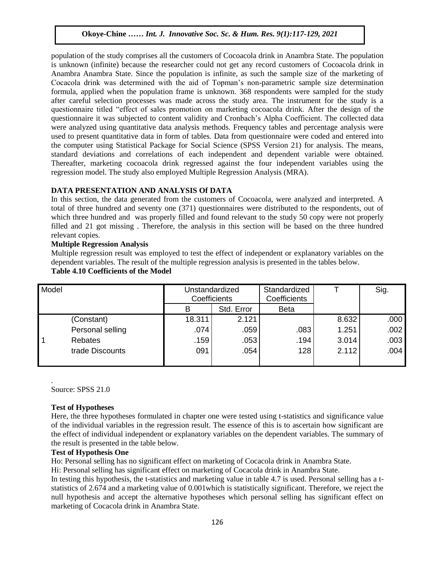population of the study comprises all the customers of Cocoacola drink in Anambra State. The population is unknown (infinite) because the researcher could not get any record customers of Cocoacola drink in Anambra Anambra State. Since the population is infinite, as such the sample size of the marketing of Cocacola drink was determined with the aid of Topman"s non-parametric sample size determination formula, applied when the population frame is unknown. 368 respondents were sampled for the study after careful selection processes was made across the study area. The instrument for the study is a questionnaire titled "effect of sales promotion on marketing cocoacola drink. After the design of the questionnaire it was subjected to content validity and Cronbach"s Alpha Coefficient. The collected data were analyzed using quantitative data analysis methods. Frequency tables and percentage analysis were used to present quantitative data in form of tables. Data from questionnaire were coded and entered into the computer using Statistical Package for Social Science (SPSS Version 21) for analysis. The means, standard deviations and correlations of each independent and dependent variable were obtained. Thereafter, marketing cocoacola drink regressed against the four independent variables using the regression model. The study also employed Multiple Regression Analysis (MRA).

## **DATA PRESENTATION AND ANALYSIS Of DATA**

In this section, the data generated from the customers of Cocoacola, were analyzed and interpreted. A total of three hundred and seventy one (371) questionnaires were distributed to the respondents, out of which three hundred and was properly filled and found relevant to the study 50 copy were not properly filled and 21 got missing . Therefore, the analysis in this section will be based on the three hundred relevant copies.

## **Multiple Regression Analysis**

Multiple regression result was employed to test the effect of independent or explanatory variables on the dependent variables. The result of the multiple regression analysis is presented in the tables below. **Table 4.10 Coefficients of the Model**

| Model |                  | Unstandardized<br>Coefficients |            | Standardized<br>Coefficients |       | Sig. |
|-------|------------------|--------------------------------|------------|------------------------------|-------|------|
|       |                  | в                              | Std. Error | <b>Beta</b>                  |       |      |
|       | (Constant)       | 18.311                         | 2.121      |                              | 8.632 | .000 |
|       | Personal selling | .074                           | .059       | .083                         | 1.251 | .002 |
|       | Rebates          | .159                           | .053       | .194                         | 3.014 | .003 |
|       | trade Discounts  | 091                            | .054       | 128                          | 2.112 | .004 |
|       |                  |                                |            |                              |       |      |

. Source: SPSS 21.0

## **Test of Hypotheses**

Here, the three hypotheses formulated in chapter one were tested using t-statistics and significance value of the individual variables in the regression result. The essence of this is to ascertain how significant are the effect of individual independent or explanatory variables on the dependent variables. The summary of the result is presented in the table below.

## **Test of Hypothesis One**

Ho: Personal selling has no significant effect on marketing of Cocacola drink in Anambra State.

Hi: Personal selling has significant effect on marketing of Cocacola drink in Anambra State.

In testing this hypothesis, the t-statistics and marketing value in table 4.7 is used. Personal selling has a tstatistics of 2.674 and a marketing value of 0.001which is statistically significant. Therefore, we reject the null hypothesis and accept the alternative hypotheses which personal selling has significant effect on marketing of Cocacola drink in Anambra State.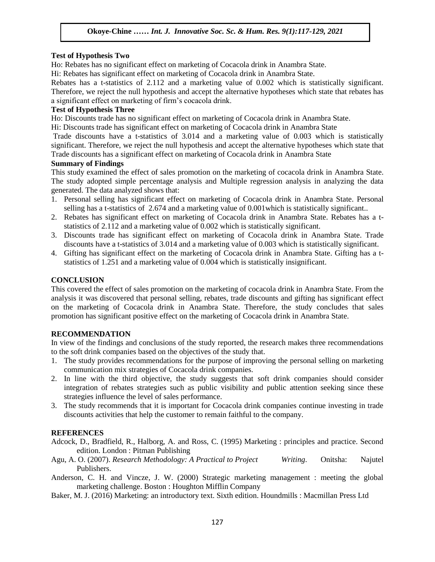## **Test of Hypothesis Two**

Ho: Rebates has no significant effect on marketing of Cocacola drink in Anambra State.

Hi: Rebates has significant effect on marketing of Cocacola drink in Anambra State.

Rebates has a t-statistics of 2.112 and a marketing value of 0.002 which is statistically significant. Therefore, we reject the null hypothesis and accept the alternative hypotheses which state that rebates has a significant effect on marketing of firm"s cocacola drink.

## **Test of Hypothesis Three**

Ho: Discounts trade has no significant effect on marketing of Cocacola drink in Anambra State.

Hi: Discounts trade has significant effect on marketing of Cocacola drink in Anambra State

Trade discounts have a t-statistics of 3.014 and a marketing value of 0.003 which is statistically significant. Therefore, we reject the null hypothesis and accept the alternative hypotheses which state that Trade discounts has a significant effect on marketing of Cocacola drink in Anambra State

## **Summary of Findings**

This study examined the effect of sales promotion on the marketing of cocacola drink in Anambra State. The study adopted simple percentage analysis and Multiple regression analysis in analyzing the data generated. The data analyzed shows that:

- 1. Personal selling has significant effect on marketing of Cocacola drink in Anambra State. Personal selling has a t-statistics of 2.674 and a marketing value of 0.001which is statistically significant..
- 2. Rebates has significant effect on marketing of Cocacola drink in Anambra State. Rebates has a tstatistics of 2.112 and a marketing value of 0.002 which is statistically significant.
- 3. Discounts trade has significant effect on marketing of Cocacola drink in Anambra State. Trade discounts have a t-statistics of 3.014 and a marketing value of 0.003 which is statistically significant.
- 4. Gifting has significant effect on the marketing of Cocacola drink in Anambra State. Gifting has a tstatistics of 1.251 and a marketing value of 0.004 which is statistically insignificant.

# **CONCLUSION**

This covered the effect of sales promotion on the marketing of cocacola drink in Anambra State. From the analysis it was discovered that personal selling, rebates, trade discounts and gifting has significant effect on the marketing of Cocacola drink in Anambra State. Therefore, the study concludes that sales promotion has significant positive effect on the marketing of Cocacola drink in Anambra State.

# **RECOMMENDATION**

In view of the findings and conclusions of the study reported, the research makes three recommendations to the soft drink companies based on the objectives of the study that.

- 1. The study provides recommendations for the purpose of improving the personal selling on marketing communication mix strategies of Cocacola drink companies.
- 2. In line with the third objective, the study suggests that soft drink companies should consider integration of rebates strategies such as public visibility and public attention seeking since these strategies influence the level of sales performance.
- 3. The study recommends that it is important for Cocacola drink companies continue investing in trade discounts activities that help the customer to remain faithful to the company.

# **REFERENCES**

- Adcock, D., Bradfield, R., Halborg, A. and Ross, C. (1995) Marketing : principles and practice. Second edition. London : Pitman Publishing
- Agu, A. O. (2007). *Research Methodology: A Practical to Project Writing*. Onitsha: Najutel Publishers.
- Anderson, C. H. and Vincze, J. W. (2000) Strategic marketing management : meeting the global marketing challenge. Boston : Houghton Mifflin Company
- Baker, M. J. (2016) Marketing: an introductory text. Sixth edition. Houndmills : Macmillan Press Ltd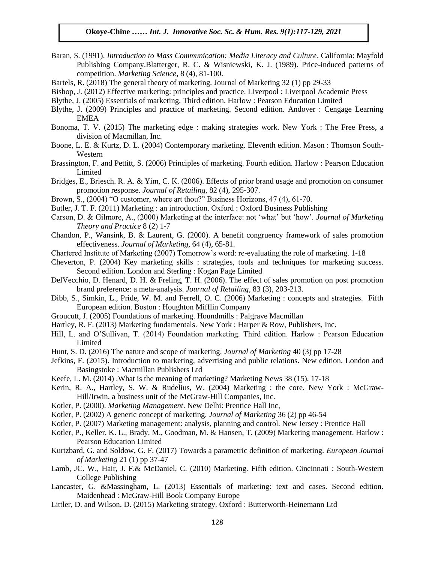- Baran, S. (1991). *Introduction to Mass Communication: Media Literacy and Culture*. California: Mayfold Publishing Company.Blatterger, R. C. & Wisniewski, K. J. (1989). Price-induced patterns of competition. *Marketing Science*, 8 (4), 81-100.
- Bartels, R. (2018) The general theory of marketing. Journal of Marketing 32 (1) pp 29-33
- Bishop, J. (2012) Effective marketing: principles and practice. Liverpool : Liverpool Academic Press
- Blythe, J. (2005) Essentials of marketing. Third edition. Harlow : Pearson Education Limited
- Blythe, J. (2009) Principles and practice of marketing. Second edition. Andover : Cengage Learning EMEA
- Bonoma, T. V. (2015) The marketing edge : making strategies work. New York : The Free Press, a division of Macmillan, Inc.
- Boone, L. E. & Kurtz, D. L. (2004) Contemporary marketing. Eleventh edition. Mason : Thomson South-Western
- Brassington, F. and Pettitt, S. (2006) Principles of marketing. Fourth edition. Harlow : Pearson Education Limited
- Bridges, E., Briesch. R. A. & Yim, C. K. (2006). Effects of prior brand usage and promotion on consumer promotion response. *Journal of Retailing*, 82 (4), 295-307.
- Brown, S., (2004) "O customer, where art thou?" Business Horizons, 47 (4), 61-70.
- Butler, J. T. F. (2011) Marketing : an introduction. Oxford : Oxford Business Publishing
- Carson, D. & Gilmore, A., (2000) Marketing at the interface: not "what" but "how". *Journal of Marketing Theory and Practice* 8 (2) 1-7
- Chandon, P., Wansink, B. & Laurent, G. (2000). A benefit congruency framework of sales promotion effectiveness. *Journal of Marketing*, 64 (4), 65-81.
- Chartered Institute of Marketing (2007) Tomorrow"s word: re-evaluating the role of marketing. 1-18
- Cheverton, P. (2004) Key marketing skills : strategies, tools and techniques for marketing success. Second edition. London and Sterling : Kogan Page Limited
- DelVecchio, D. Henard, D. H. & Freling, T. H. (2006). The effect of sales promotion on post promotion brand preference: a meta-analysis. *Journal of Retailing*, 83 (3), 203-213.
- Dibb, S., Simkin, L., Pride, W. M. and Ferrell, O. C. (2006) Marketing : concepts and strategies. Fifth European edition. Boston : Houghton Mifflin Company
- Groucutt, J. (2005) Foundations of marketing. Houndmills : Palgrave Macmillan
- Hartley, R. F. (2013) Marketing fundamentals. New York : Harper & Row, Publishers, Inc.
- Hill, L. and O"Sullivan, T. (2014) Foundation marketing. Third edition. Harlow : Pearson Education Limited
- Hunt, S. D. (2016) The nature and scope of marketing. *Journal of Marketing* 40 (3) pp 17-28
- Jefkins, F. (2015). Introduction to marketing, advertising and public relations. New edition. London and Basingstoke : Macmillan Publishers Ltd
- Keefe, L. M. (2014) .What is the meaning of marketing? Marketing News 38 (15), 17-18
- Kerin, R. A., Hartley, S. W. & Rudelius, W. (2004) Marketing : the core. New York : McGraw-Hill/Irwin, a business unit of the McGraw-Hill Companies, Inc.
- Kotler, P. (2000). *Marketing Management*. New Delhi: Prentice Hall Inc,
- Kotler, P. (2002) A generic concept of marketing. *Journal of Marketing* 36 (2) pp 46-54
- Kotler, P. (2007) Marketing management: analysis, planning and control. New Jersey : Prentice Hall
- Kotler, P., Keller, K. L., Brady, M., Goodman, M. & Hansen, T. (2009) Marketing management. Harlow : Pearson Education Limited
- Kurtzbard, G. and Soldow, G. F. (2017) Towards a parametric definition of marketing. *European Journal of Marketing* 21 (1) pp 37-47
- Lamb, JC. W., Hair, J. F.& McDaniel, C. (2010) Marketing. Fifth edition. Cincinnati : South-Western College Publishing
- Lancaster, G. &Massingham, L. (2013) Essentials of marketing: text and cases. Second edition. Maidenhead : McGraw-Hill Book Company Europe
- Littler, D. and Wilson, D. (2015) Marketing strategy. Oxford : Butterworth-Heinemann Ltd